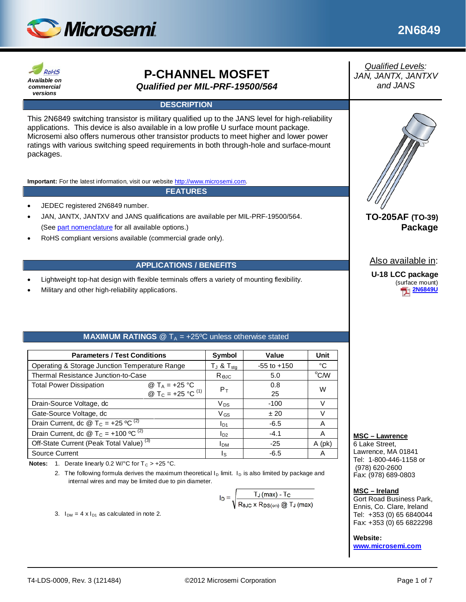



# **P-CHANNEL MOSFET** *Qualified per MIL-PRF-19500/564*

#### **DESCRIPTION**

This 2N6849 switching transistor is military qualified up to the JANS level for high-reliability applications. This device is also available in a low profile U surface mount package. Microsemi also offers numerous other transistor products to meet higher and lower power ratings with various switching speed requirements in both through-hole and surface-mount packages.

**Important:** For the latest information, visit our website [http://www.microsemi.com.](http://www.microsemi.com/)

#### **FEATURES**

- JEDEC registered 2N6849 number.
- JAN, JANTX, JANTXV and JANS qualifications are available per MIL-PRF-19500/564. (Se[e part nomenclature](#page-1-0) for all available options.)
- RoHS compliant versions available (commercial grade only).

#### **APPLICATIONS / BENEFITS**

- Lightweight top-hat design with flexible terminals offers a variety of mounting flexibility.
- Military and other high-reliability applications.

#### **MAXIMUM RATINGS**  $@T_A = +25°C$  unless otherwise stated

| <b>Parameters / Test Conditions</b>                                                                     | Symbol                 | Value             | Unit            |      |
|---------------------------------------------------------------------------------------------------------|------------------------|-------------------|-----------------|------|
| Operating & Storage Junction Temperature Range                                                          |                        | $T_J$ & $T_{sta}$ | $-55$ to $+150$ | °C   |
| Thermal Resistance Junction-to-Case                                                                     |                        | Rejc              | 5.0             | °C/W |
| <b>Total Power Dissipation</b><br>@ T <sub>A</sub> = +25 °C<br>@ T <sub>C</sub> = +25 °C <sup>(1)</sup> |                        | $P_T$             | 0.8<br>25       | W    |
| Drain-Source Voltage, dc                                                                                | $V_{DS}$               | $-100$            | V               |      |
| Gate-Source Voltage, dc                                                                                 |                        | $V_{GS}$          | ±20             | V    |
| Drain Current, dc @ T <sub>C</sub> = +25 °C <sup>(2)</sup>                                              |                        | $I_{D1}$          | $-6.5$          | A    |
| Drain Current, dc @ T <sub>C</sub> = +100 °C <sup>(2)</sup>                                             | $I_{D2}$               | $-4.1$            | A               |      |
| Off-State Current (Peak Total Value) <sup>(3)</sup>                                                     | <b>I</b> <sub>DM</sub> | $-25$             | $A$ (pk)        |      |
| Source Current                                                                                          |                        | Is                | $-6.5$          | A    |

**Notes:** 1. Derate linearly 0.2 W/ $^{\circ}$ C for T<sub>C</sub> > +25  $^{\circ}$ C.

2. The following formula derives the maximum theoretical  $I_D$  limit.  $I_D$  is also limited by package and internal wires and may be limited due to pin diameter.

 $I_D = \sqrt{\frac{T_J \text{ (max)} - T_C}{R_{BJC} \times R_{DS(on)} \textcircled{2} T_J \text{ (max)}}$ 

3.  $I_{DM} = 4 \times I_{D1}$  as calculated in note 2.

*Qualified Levels: JAN, JANTX, JANTXV and JANS*



# **TO-205AF (TO-39) Package**

Also available in:

**U-18 LCC package** (surface mount) **[2N6849U](http://www.microsemi.com/en/products/product-directory/321612)**

#### **MSC – Lawrence**

6 Lake Street, Lawrence, MA 01841 Tel: 1-800-446-1158 or (978) 620-2600 Fax: (978) 689-0803

**MSC – Ireland**

Gort Road Business Park, Ennis, Co. Clare, Ireland Tel: +353 (0) 65 6840044 Fax: +353 (0) 65 6822298

**Website:** 

**[www.microsemi.com](http://www.microsemi.com/)**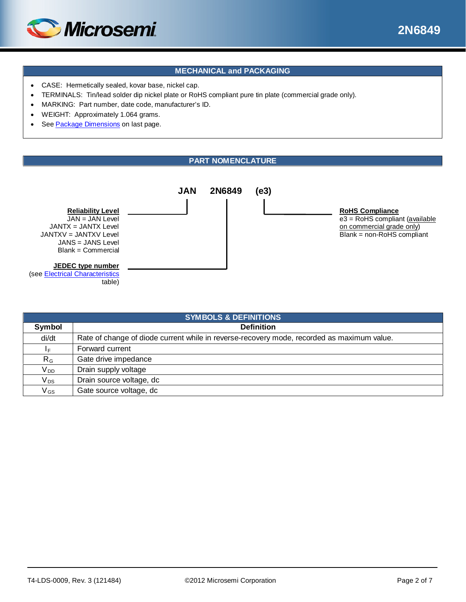

## **MECHANICAL and PACKAGING**

- CASE: Hermetically sealed, kovar base, nickel cap.
- TERMINALS: Tin/lead solder dip nickel plate or RoHS compliant pure tin plate (commercial grade only).
- MARKING: Part number, date code, manufacturer's ID.
- WEIGHT: Approximately 1.064 grams.
- See [Package Dimensions](#page-6-0) on last page.

#### **PART NOMENCLATURE**

<span id="page-1-0"></span>

| <b>SYMBOLS &amp; DEFINITIONS</b> |                                                                                            |  |  |  |
|----------------------------------|--------------------------------------------------------------------------------------------|--|--|--|
| Symbol                           | <b>Definition</b>                                                                          |  |  |  |
| di/dt                            | Rate of change of diode current while in reverse-recovery mode, recorded as maximum value. |  |  |  |
| ΙF.                              | Forward current                                                                            |  |  |  |
| $R_G$                            | Gate drive impedance                                                                       |  |  |  |
| V <sub>DD</sub>                  | Drain supply voltage                                                                       |  |  |  |
| $V_{DS}$                         | Drain source voltage, dc                                                                   |  |  |  |
| $V_{GS}$                         | Gate source voltage, dc                                                                    |  |  |  |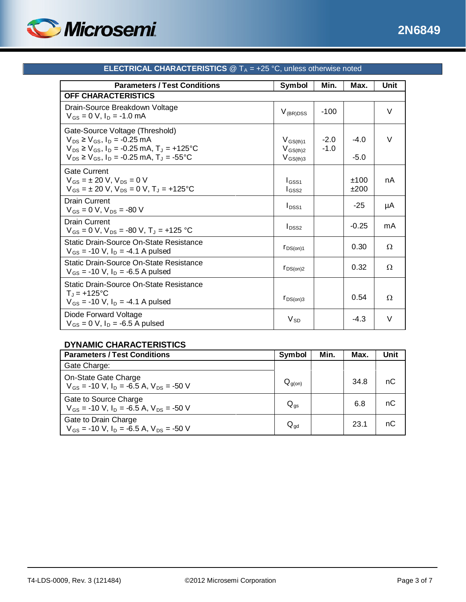

<span id="page-2-0"></span>

| <b>Parameters / Test Conditions</b>                                                                                                                                                             | Symbol                                          | Min.             | Max.             | Unit   |
|-------------------------------------------------------------------------------------------------------------------------------------------------------------------------------------------------|-------------------------------------------------|------------------|------------------|--------|
| <b>OFF CHARACTERISTICS</b>                                                                                                                                                                      |                                                 |                  |                  |        |
| Drain-Source Breakdown Voltage<br>$V_{GS} = 0 V$ , $I_D = -1.0$ mA                                                                                                                              | $V_{(BR)DSS}$                                   | $-100$           |                  | V      |
| Gate-Source Voltage (Threshold)<br>$V_{DS} \geq V_{GS}$ , $I_D = -0.25$ mA<br>$V_{DS} \ge V_{GS}$ , $I_D = -0.25$ mA, $T_J = +125$ °C<br>$V_{DS} \ge V_{GS}$ , $I_D = -0.25$ mA, $T_J = -55$ °C | $V_{GS(th)1}$<br>$V_{GS(th)2}$<br>$V_{GS(th)3}$ | $-2.0$<br>$-1.0$ | $-4.0$<br>$-5.0$ | $\vee$ |
| <b>Gate Current</b><br>$V_{GS} = \pm 20$ V, $V_{DS} = 0$ V<br>$V_{GS} = \pm 20$ V, $V_{DS} = 0$ V, $T_J = +125$ °C                                                                              | $I_{GSS1}$<br>$I_{GSS2}$                        |                  | ±100<br>±200     | nA     |
| <b>Drain Current</b><br>$V_{GS} = 0 V$ , $V_{DS} = -80 V$                                                                                                                                       | $I_{DSS1}$                                      |                  | $-25$            | μA     |
| Drain Current<br>$V_{GS} = 0 V$ , $V_{DS} = -80 V$ , $T_J = +125 °C$                                                                                                                            | $I_{DSS2}$                                      |                  | $-0.25$          | mA     |
| Static Drain-Source On-State Resistance<br>$V_{GS}$ = -10 V, $I_D$ = -4.1 A pulsed                                                                                                              | $r_{DS(on)1}$                                   |                  | 0.30             | Ω      |
| Static Drain-Source On-State Resistance<br>$V_{GS}$ = -10 V, $I_D$ = -6.5 A pulsed                                                                                                              | $r_{DS(on)2}$                                   |                  | 0.32             | Ω      |
| Static Drain-Source On-State Resistance<br>$T_{J}$ = +125°C<br>$V_{GS}$ = -10 V, I <sub>D</sub> = -4.1 A pulsed                                                                                 | $r_{DS(on)3}$                                   |                  | 0.54             | Ω      |
| Diode Forward Voltage<br>$V_{GS} = 0 V$ , $I_D = -6.5 A pulsed$                                                                                                                                 | $V_{SD}$                                        |                  | $-4.3$           | $\vee$ |

# **ELECTRICAL CHARACTERISTICS**  $@T_A = +25 °C$ , unless otherwise noted

## **DYNAMIC CHARACTERISTICS**

| <b>Parameters / Test Conditions</b>                                                         | Symbol          | Min. | Max. | Unit |
|---------------------------------------------------------------------------------------------|-----------------|------|------|------|
| Gate Charge:                                                                                |                 |      |      |      |
| On-State Gate Charge<br>$V_{GS}$ = -10 V, $I_D$ = -6.5 A, $V_{DS}$ = -50 V                  | $Q_{g(0n)}$     |      | 34.8 | nС   |
| Gate to Source Charge<br>$V_{GS}$ = -10 V, I <sub>D</sub> = -6.5 A, V <sub>DS</sub> = -50 V | $Q_{qs}$        |      | 6.8  | nС   |
| Gate to Drain Charge<br>$V_{GS}$ = -10 V, I <sub>D</sub> = -6.5 A, V <sub>DS</sub> = -50 V  | $Q_{\text{qd}}$ |      | 23.1 | nС   |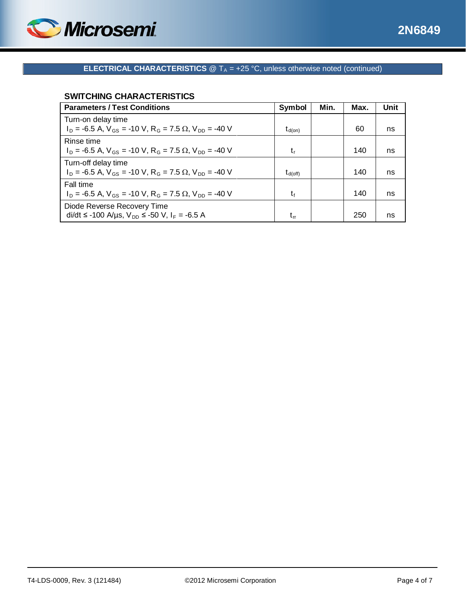

### **SWITCHING CHARACTERISTICS**

| <b>Parameters / Test Conditions</b>                                                       | Symbol              | Min. | Max. | Unit |
|-------------------------------------------------------------------------------------------|---------------------|------|------|------|
| Turn-on delay time                                                                        |                     |      |      |      |
| $I_D$ = -6.5 A, $V_{GS}$ = -10 V, R <sub>G</sub> = 7.5 $\Omega$ , V <sub>DD</sub> = -40 V | $t_{d(on)}$         |      | 60   | ns   |
| Rinse time                                                                                |                     |      |      |      |
| $I_D = -6.5$ A, $V_{GS} = -10$ V, R <sub>G</sub> = 7.5 $\Omega$ , V <sub>DD</sub> = -40 V | t,                  |      | 140  | ns   |
| Turn-off delay time                                                                       |                     |      |      |      |
| $I_D = -6.5$ A, $V_{GS} = -10$ V, R <sub>G</sub> = 7.5 $\Omega$ , V <sub>DD</sub> = -40 V | $t_{\text{d(off)}}$ |      | 140  | ns   |
| Fall time                                                                                 |                     |      |      |      |
| $I_D$ = -6.5 A, $V_{GS}$ = -10 V, R <sub>G</sub> = 7.5 $\Omega$ , V <sub>DD</sub> = -40 V | t,                  |      | 140  | ns   |
| Diode Reverse Recovery Time                                                               |                     |      |      |      |
| di/dt ≤ -100 A/µs, V <sub>DD</sub> ≤ -50 V, I <sub>F</sub> = -6.5 A                       | $t_{rr}$            |      | 250  | ns   |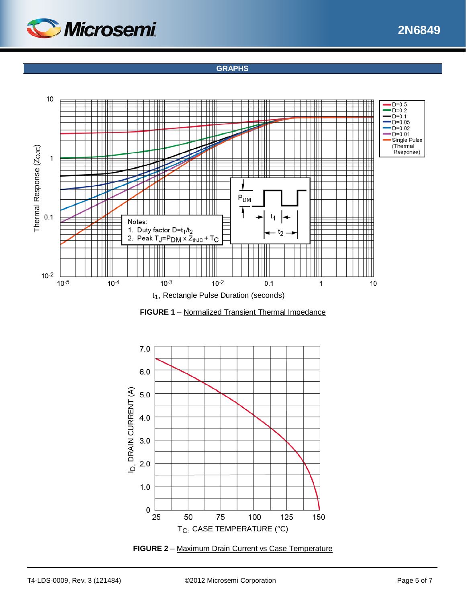

## **GRAPHS**







**FIGURE 2** – Maximum Drain Current vs Case Temperature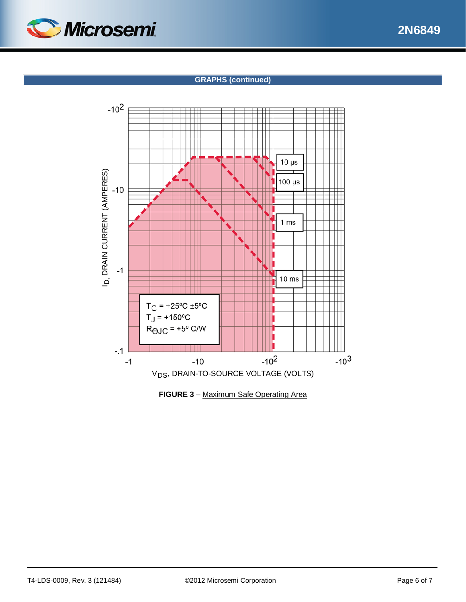

## **GRAPHS (continued)**



**FIGURE 3** – Maximum Safe Operating Area